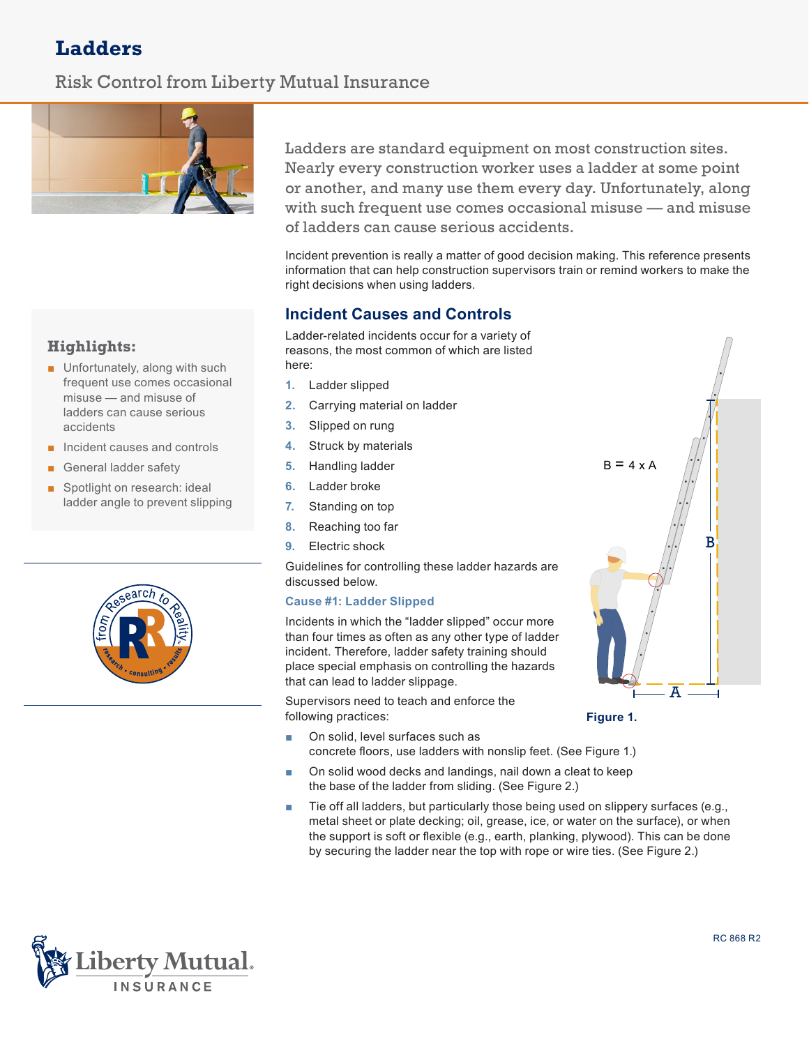# **Ladders**

## Risk Control from Liberty Mutual Insurance



## **Highlights:**

- Unfortunately, along with such frequent use comes occasional misuse — and misuse of ladders can cause serious accidents
- Incident causes and controls
- General ladder safety
- Spotlight on research: ideal ladder angle to prevent slipping



Ladders are standard equipment on most construction sites. Nearly every construction worker uses a ladder at some point or another, and many use them every day. Unfortunately, along with such frequent use comes occasional misuse — and misuse of ladders can cause serious accidents.

Incident prevention is really a matter of good decision making. This reference presents information that can help construction supervisors train or remind workers to make the right decisions when using ladders.

## **Incident Causes and Controls**

Ladder-related incidents occur for a variety of reasons, the most common of which are listed here:

- **1.** Ladder slipped
- **2.** Carrying material on ladder
- **3.** Slipped on rung
- **4.** Struck by materials
- **5.** Handling ladder
- **6.** Ladder broke
- **7.** Standing on top
- **8.** Reaching too far
- **9.** Electric shock

Guidelines for controlling these ladder hazards are discussed below.

#### **Cause #1: Ladder Slipped**

Incidents in which the "ladder slipped" occur more than four times as often as any other type of ladder incident. Therefore, ladder safety training should place special emphasis on controlling the hazards that can lead to ladder slippage.

Supervisors need to teach and enforce the following practices:

- On solid, level surfaces such as concrete floors, use ladders with nonslip feet. (See Figure 1.)
- On solid wood decks and landings, nail down a cleat to keep the base of the ladder from sliding. (See Figure 2.)
- Tie off all ladders, but particularly those being used on slippery surfaces (e.g., metal sheet or plate decking; oil, grease, ice, or water on the surface), or when the support is soft or flexible (e.g., earth, planking, plywood). This can be done by securing the ladder near the top with rope or wire ties. (See Figure 2.)



**Figure 1.**

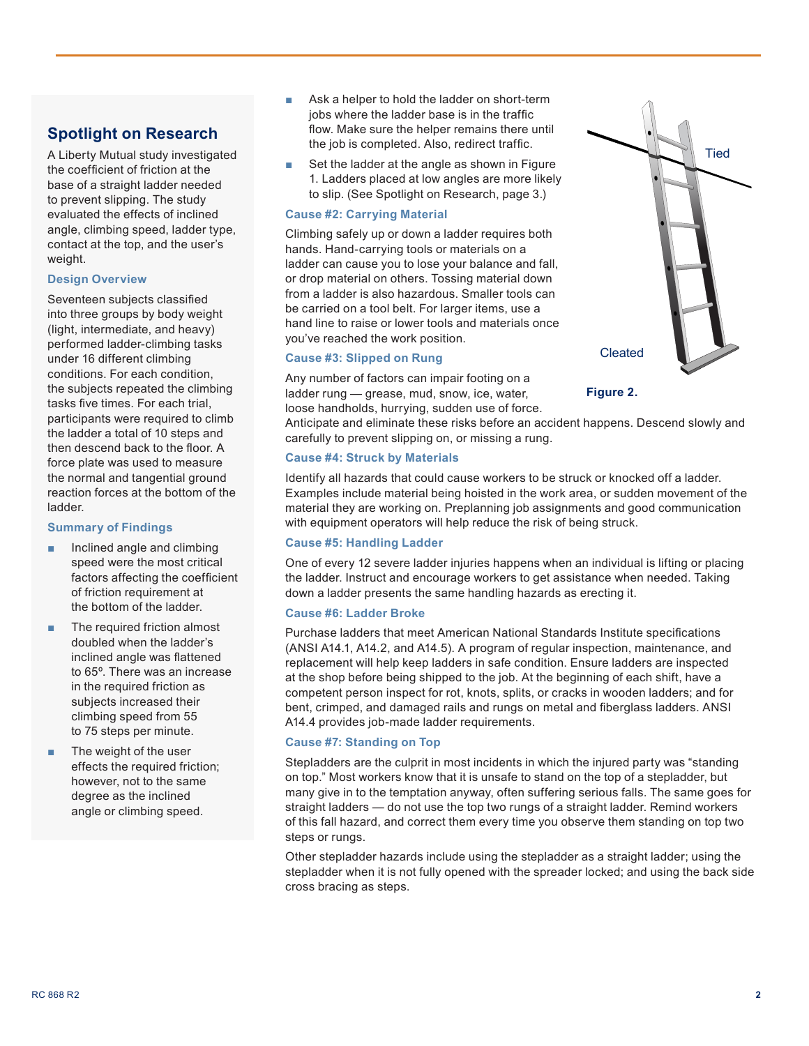## **Spotlight on Research**

A Liberty Mutual study investigated the coefficient of friction at the base of a straight ladder needed to prevent slipping. The study evaluated the effects of inclined angle, climbing speed, ladder type, contact at the top, and the user's weight.

#### **Design Overview**

Seventeen subjects classified into three groups by body weight (light, intermediate, and heavy) performed ladder-climbing tasks under 16 different climbing conditions. For each condition, the subjects repeated the climbing tasks five times. For each trial, participants were required to climb the ladder a total of 10 steps and then descend back to the floor. A force plate was used to measure the normal and tangential ground reaction forces at the bottom of the ladder.

#### **Summary of Findings**

- Inclined angle and climbing speed were the most critical factors affecting the coefficient of friction requirement at the bottom of the ladder.
- The required friction almost doubled when the ladder's inclined angle was flattened to 65º. There was an increase in the required friction as subjects increased their climbing speed from 55 to 75 steps per minute.
- The weight of the user effects the required friction; however, not to the same degree as the inclined angle or climbing speed.
- Ask a helper to hold the ladder on short-term jobs where the ladder base is in the traffic flow. Make sure the helper remains there until the job is completed. Also, redirect traffic.
- Set the ladder at the angle as shown in Figure 1. Ladders placed at low angles are more likely to slip. (See Spotlight on Research, page 3.)

#### **Cause #2: Carrying Material**

Climbing safely up or down a ladder requires both hands. Hand-carrying tools or materials on a ladder can cause you to lose your balance and fall, or drop material on others. Tossing material down from a ladder is also hazardous. Smaller tools can be carried on a tool belt. For larger items, use a hand line to raise or lower tools and materials once you've reached the work position.

#### **Cause #3: Slipped on Rung**

Any number of factors can impair footing on a ladder rung — grease, mud, snow, ice, water, loose handholds, hurrying, sudden use of force.

Anticipate and eliminate these risks before an accident happens. Descend slowly and carefully to prevent slipping on, or missing a rung.

#### **Cause #4: Struck by Materials**

Identify all hazards that could cause workers to be struck or knocked off a ladder. Examples include material being hoisted in the work area, or sudden movement of the material they are working on. Preplanning job assignments and good communication with equipment operators will help reduce the risk of being struck.

#### **Cause #5: Handling Ladder**

One of every 12 severe ladder injuries happens when an individual is lifting or placing the ladder. Instruct and encourage workers to get assistance when needed. Taking down a ladder presents the same handling hazards as erecting it.

#### **Cause #6: Ladder Broke**

Purchase ladders that meet American National Standards Institute specifications (ANSI A14.1, A14.2, and A14.5). A program of regular inspection, maintenance, and replacement will help keep ladders in safe condition. Ensure ladders are inspected at the shop before being shipped to the job. At the beginning of each shift, have a competent person inspect for rot, knots, splits, or cracks in wooden ladders; and for bent, crimped, and damaged rails and rungs on metal and fiberglass ladders. ANSI A14.4 provides job-made ladder requirements.

#### **Cause #7: Standing on Top**

Stepladders are the culprit in most incidents in which the injured party was "standing on top." Most workers know that it is unsafe to stand on the top of a stepladder, but many give in to the temptation anyway, often suffering serious falls. The same goes for straight ladders — do not use the top two rungs of a straight ladder. Remind workers of this fall hazard, and correct them every time you observe them standing on top two steps or rungs.

Other stepladder hazards include using the stepladder as a straight ladder; using the stepladder when it is not fully opened with the spreader locked; and using the back side cross bracing as steps.



**Figure 2.**